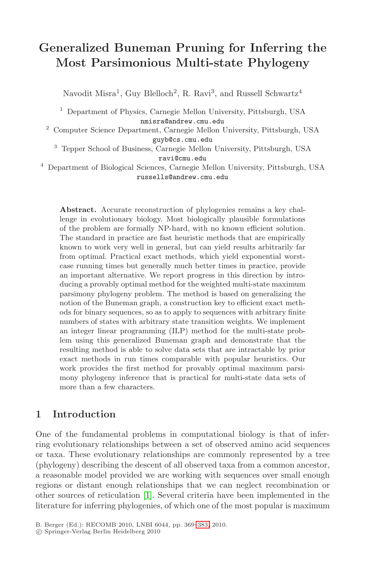# **Generalized Buneman Pruning for Inferring the Most Parsimonious Multi-state Phylogeny**

Navodit Misra<sup>1</sup>, Guy Blelloch<sup>2</sup>, R. Ravi<sup>3</sup>, and Russell Schwartz<sup>4</sup>

<sup>1</sup> Department of Physics, Carnegie Mellon University, Pittsburgh, USA nmisra@andrew.cmu.edu

<sup>2</sup> Computer Science Department, Carnegie Mellon University, Pittsburgh, USA guyb@cs.cmu.edu

<sup>3</sup> Tepper School of Business, Carnegie Mellon University, Pittsburgh, USA ravi@cmu.edu

<sup>4</sup> Department of Biological Sciences, Carnegie Mellon University, Pittsburgh, USA russells@andrew.cmu.edu

**Abstract.** Accurate reconstruction of phylogenies remains a key challenge in evolutionary biology. Most biologically plausible formulations of the problem are formally NP-hard, with no known efficient solution. The standard in practice are fast heuristic methods that are empirically known to work very well in general, but can yield results arbitrarily far from optimal. Practical exact methods, which yield exponential worstcase running times but generally much better times in practice, provide an important alternative. We report progress in this direction by introducing a provably optimal method for the weighted multi-state maximum parsimony phylogeny problem. The method is based on generalizing the notion of the Buneman graph, a construction key to efficient exact methods for binary sequences, so as to apply to sequences with arbitrary finite numbers of states with arbitrary state transition weights. We implement an integer linear programming (ILP) method for the multi-state problem using this generalized Buneman graph and demonstrate that the resulting method is able to solve data sets that are intractable by prior exact methods in run times comparable with popular heuristics. Our work provides the first method for provably optimal maximum parsimony phylogeny inference that is practical for multi-state data sets of more than a few characters.

# **1 Intr[od](#page-13-0)uction**

One of the fundamental problems in computational biology is that of inferring evolutionary relatio[nshi](#page-14-0)ps between a set of observed amino acid sequences or taxa. These evolutionary relationships are commonly represented by a tree (phylogeny) describing the descent of all observed taxa from a common ancestor, a reasonable model provided we are working with sequences over small enough regions or distant enough relationships that we can neglect recombination or other sources of reticulation [1]. Several criteria have been implemented in the literature for inferring phylogenies, of which one of the most popular is maximum

B. Berger (Ed.): RECOMB 2010, LNBI 6044, pp. 369–383, 2010.

<sup>-</sup>c Springer-Verlag Berlin Heidelberg 2010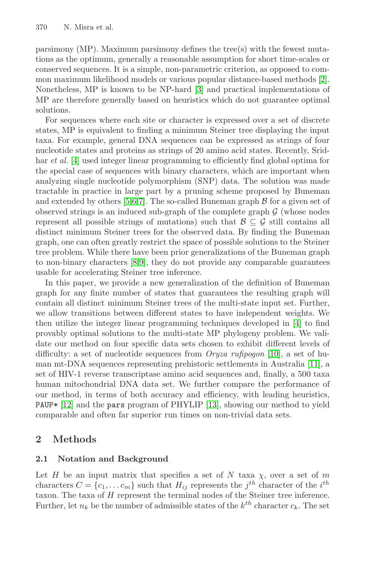parsimony (MP). Maximum parsimony defines the tree(s) with the fewest mutations as the optimum, generally a reasonable assumption for short time-scales or conserved sequences. It is a simple, non-parametric criterion, as opposed to common maximum likelihood models or various popular distance-based methods [2]. Nonetheless, MP is known to be NP-hard [3] and practical implementations of MP are therefore generally based on heuristics which do not guarantee optimal solutions.

Fo[r](#page-14-1) [se](#page-14-2)[qu](#page-14-3)ences where each site or character is expressed over a set of discrete states, MP is equivalent to finding a minimum Steiner tree displaying the input taxa. For example, general DNA sequences can be expressed as strings of four nucleotide states and proteins as strings of 20 amino acid states. Recently, Sridhar *et al.* [4] used integer linear programming to efficiently find global optima for the special case of sequences with binary characters, which are important when analyz[in](#page-14-4)[g s](#page-14-5)ingle nucleotide polymorphism (SNP) data. The solution was made tractable in practice in large part by a pruning scheme proposed by Buneman and extended by others [5,6,7]. The so-called Buneman graph  $\beta$  for a given set of observed strings is an induced sub-graph of the complete graph  $\mathcal G$  (whose nodes represent all possible strings of mutations) such that  $\mathcal{B} \subseteq \mathcal{G}$  still contains all distinct minimum Steiner trees for the observed data. By finding the Buneman graph, one can often greatly restrict the space of po[ssi](#page-13-1)ble solutions to the Steiner tree problem. While there have been prior generalizations of the Buneman graph to non-binary characters [8,9], they do not provide any comparable guarantees usable for accelerating Steiner tree inferenc[e.](#page-14-6)

In this paper, we provide a new generalization of t[he d](#page-14-7)efinition of Buneman graph for any finite number of states that guarantees the resulting graph will contain all distinct minimum Steiner trees of the multi-state input set. Further, we allow transitions between different states to have independent weights. We then utilize the integer lin[ear](#page-14-8) programming techniques developed in [4] to find provably optimal solutions to the multi-state MP phylogeny problem. We validate our method on four specific data sets chosen to exhibit different levels of difficulty: a set of nucleotide sequences from *Oryza rufipogon* [10], a set of human mt-DNA sequences representing prehistoric settlements in Australia [11], a set of HIV-1 reverse transcriptase amino acid sequences and, finally, a 500 taxa human mitochondrial DNA data set. We further compare the performance of our method, in terms of both accuracy and efficiency, with leading heuristics, PAUP\* [12] and the pars program of PHYLIP [13], showing our method to yield comparable and often far superior run times on non-trivial data sets.

# **2 Methods**

## **2.1 Notation and Background**

Let H be an input matrix that specifies a set of N taxa  $\chi$ , over a set of m characters  $C = \{c_1, \ldots c_m\}$  such that  $H_{ij}$  represents the j<sup>th</sup> character of the i<sup>th</sup> taxon. The taxa of H represent the terminal nodes of the Steiner tree inference. Further, let  $n_k$  be the number of admissible states of the  $k^{th}$  character  $c_k$ . The set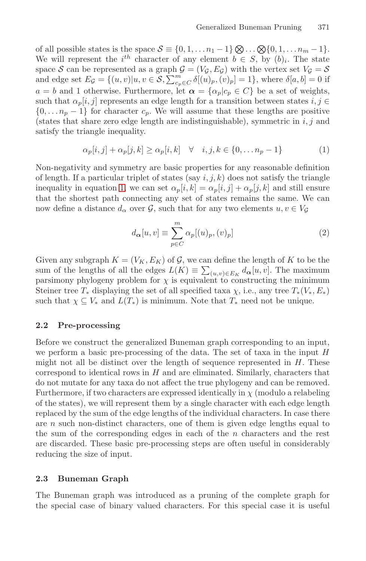<span id="page-2-0"></span>of all possible states is the space  $S \equiv \{0, 1, \ldots n_1 - 1\} \otimes \ldots \otimes \{0, 1, \ldots n_m - 1\}.$ We will represent the  $i^{th}$  character of any element  $b \in S$ , by  $(b)_i$ . The state space S can be represented as a graph  $G = (V_g, E_g)$  with the vertex set  $V_g = S$ and edge set  $E_{\mathcal{G}} = \{(u, v)|u, v \in \mathcal{S}, \sum_{c_p \in C}^m \delta[(u)_p, (v)_p] = 1\}$ , where  $\delta[a, b] = 0$  if  $a = b$  and 1 otherwise. Furthermore, let  $\alpha = {\alpha_p | c_p \in C}$  be a set of weights, such that  $\alpha_p[i, j]$  represents an edge length for a transition between states  $i, j \in$  $\{0,\ldots n_p-1\}$  for character  $c_p$ . We will assume that these lengths are positive (states that share zero edge length are indistinguishable), symmetric in  $i, j$  and satisfy the triangle inequality.

$$
\alpha_p[i,j] + \alpha_p[j,k] \ge \alpha_p[i,k] \quad \forall \quad i,j,k \in \{0,\dots n_p - 1\}
$$
 (1)

Non-negativity and symmetry are basic properties for any reasonable definition of length. If a particular triplet of states (say  $i, j, k$ ) does not satisfy the triangle inequality in equation 1, we can set  $\alpha_p[i, k] = \alpha_p[i, j] + \alpha_p[j, k]$  and still ensure that the shortest path connecting any set of states remains the same. We can now define a distance  $d_{\alpha}$  over  $\mathcal{G}$ , such that for any two elements  $u, v \in V_{\mathcal{G}}$ 

$$
d_{\alpha}[u, v] \equiv \sum_{p \in C}^{m} \alpha_p[(u)_p, (v)_p]
$$
\n(2)

Given any subgraph  $K = (V_K, E_K)$  of  $\mathcal{G}$ , we can define the length of K to be the sum of the lengths of all the edges  $L(K) \equiv \sum_{(u,v)\in E_K} d_{\alpha}[u, v]$ . The maximum parsimony phylogeny problem for  $\chi$  is equivalent to constructing the minimum Steiner tree  $T_*$  displaying the set of all specified taxa  $\chi$ , i.e., any tree  $T_*(V_*, E_*)$ such that  $\chi \subseteq V_*$  and  $L(T_*)$  is minimum. Note that  $T_*$  need not be unique.

## **2.2 Pre-processing**

Before we construct the generalized Buneman graph corresponding to an input, we perform a basic pre-processing of the data. The set of taxa in the input  $H$ might not all be distinct over the length of sequence represented in  $H$ . These correspond to identical rows in  $H$  and are eliminated. Similarly, characters that do not mutate for any taxa do not affect the true phylogeny and can be removed. Furthermore, if two characters are expressed identically in  $\chi$  (modulo a relabeling of the states), we will represent them by a single character with each edge length replaced by the sum of the edge lengths of the individual characters. In case there are  $n$  such non-distinct characters, one of them is given edge lengths equal to the sum of the corresponding edges in each of the  $n$  characters and the rest are discarded. These basic pre-processing steps are often useful in considerably reducing the size of input.

## **2.3 Buneman Graph**

The Buneman graph was introduced as a pruning of the complete graph for the special case of binary valued characters. For this special case it is useful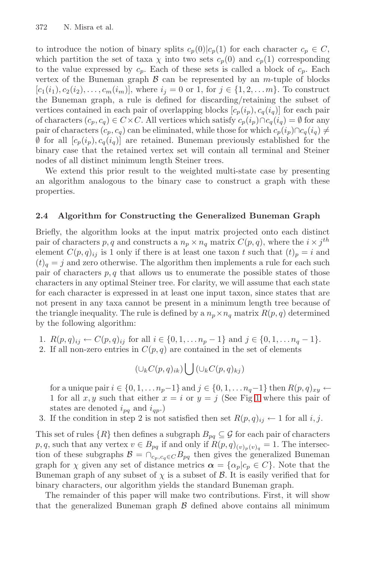to introduce the notion of binary splits  $c_p(0)|c_p(1)$  for each character  $c_p \in C$ , which partition the set of taxa  $\chi$  into two sets  $c_p(0)$  and  $c_p(1)$  corresponding to the value expressed by  $c_p$ . Each of these sets is called a block of  $c_p$ . Each vertex of the Buneman graph  $\beta$  can be represented by an m-tuple of blocks  $[c_1(i_1), c_2(i_2), \ldots, c_m(i_m)]$ , where  $i_j = 0$  or 1, for  $j \in \{1, 2, \ldots m\}$ . To construct the Buneman graph, a rule is defined for discarding/retaining the subset of vertices contained in each pair of overlapping blocks  $[c_p(i_p), c_q(i_q)]$  for each pair of characters  $(c_p, c_q) \in C \times C$ . All vertices which satisfy  $c_p(i_p) \cap c_q(i_q) = \emptyset$  for any pair of characters  $(c_p, c_q)$  can be eliminated, while those for which  $c_p(i_p) \cap c_q(i_q) \neq$  $\emptyset$  for all  $[c_p(i_p), c_q(i_q)]$  are retained. Buneman previously established for the binary case that the retained vertex set will contain all terminal and Steiner nodes of all distinct minimum length Steiner trees.

We extend this prior result to the weighted multi-state case by presenting an algorithm analogous to the binary case to construct a graph with these properties.

## **2.4 Algorithm for Constructing the Generalized Buneman Graph**

Briefly, the algorithm looks at the input matrix projected onto each distinct pair of characters p, q and constructs a  $n_p \times n_q$  matrix  $C(p, q)$ , where the  $i \times j^{th}$ element  $C(p,q)_{ii}$  is 1 only if there is at least one taxon t such that  $(t_p = i$  and  $(t)<sub>q</sub> = j$  and zero otherwise. The algorithm then implements a rule for each such pair of characters  $p, q$  that allows us to enumerate the possible states of those characters in any optimal Steiner tree. For clarity, we will assume that each state for each character is expressed in at least one input taxon, since states that are not present in any taxa cannot be present in a minimum length tree because of the triangle inequality. The rule is define[d b](#page-4-0)y a  $n_p \times n_q$  matrix  $R(p, q)$  determined by the following algorithm:

- 1.  $R(p,q)_{ij} \leftarrow C(p,q)_{ij}$  for all  $i \in \{0,1,\ldots n_p-1\}$  and  $j \in \{0,1,\ldots n_q-1\}$ .
- 2. If all non-zero entries in  $C(p, q)$  are contained in the set of elements

$$
(\cup_k C(p,q)_{ik}) \bigcup (\cup_k C(p,q)_{kj})
$$

for a unique pair  $i \in \{0, 1, \ldots n_p-1\}$  and  $j \in \{0, 1, \ldots n_q-1\}$  then  $R(p, q)_{xy} \leftarrow$ 1 for all x, y such that either  $x = i$  or  $y = j$  (See Fig 1 where this pair of states are denoted  $i_{pq}$  and  $i_{qp}$ .)

3. If the condition in step 2 is not satisfied then set  $R(p,q)_{ij} \leftarrow 1$  for all i, j.

This set of rules  $\{R\}$  then defines a subgraph  $B_{pq} \subseteq \mathcal{G}$  for each pair of characters p, q, such that any vertex  $v \in B_{pq}$  if and only if  $R(p,q)_{(v)_p(v)_q} = 1$ . The intersection of these subgraphs  $\mathcal{B} = \bigcap_{c_p, c_q \in C} B_{pq}$  then gives the generalized Buneman graph for  $\chi$  given any set of distance metrics  $\alpha = {\alpha_p | c_p \in C}$ . Note that the Buneman graph of any subset of  $\chi$  is a subset of  $\mathcal{B}$ . It is easily verified that for binary characters, our algorithm yields the standard Buneman graph.

The remainder of this paper will make two contributions. First, it will show that the generalized Buneman graph  $\beta$  defined above contains all minimum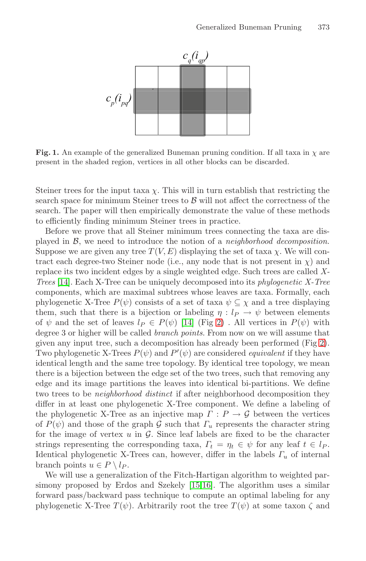

<span id="page-4-0"></span>**Fig. 1.** An example of the generalized Buneman pruning condition. If all taxa in  $\chi$  are present in the shaded region, vertices in all other blocks can be discarded.

Steiner trees for the input taxa  $\chi$ . This will in turn establish that restricting the search space for minimum Steiner trees to  $\beta$  will not affect the correctness of the search. The paper will then empirically demonstrate the value of these methods to efficiently finding minimum Steiner trees in practice.

Before we prove that all Steiner minimum trees connecting the taxa are displayed in B, we nee[d to](#page-14-9) intro[du](#page-5-0)ce the notion of a *neighborhood decomposition*. Suppose we are given any tree  $T(V, E)$  displaying the set of taxa  $\chi$ . We will contract each degree-two Steiner [n](#page-5-0)ode (i.e., any node that is not present in  $\chi$ ) and replace its two incident edges by a single weighted edge. Such trees are called *X-Trees* [14]. Each X-Tree can be uniquely decomposed into its *phylogenetic X-Tree* components, which are maximal subtrees whose leaves are taxa. Formally, each phylogenetic X-Tree  $P(\psi)$  consists of a set of taxa  $\psi \subseteq \chi$  and a tree displaying them, such that there is a bijection or labeling  $\eta: l_P \to \psi$  between elements of  $\psi$  and the set of leaves  $l_P \in P(\psi)$  [14] (Fig 2). All vertices in  $P(\psi)$  with degree 3 or higher will be called *branch points*. From now on we will assume that given any input tree, such a decomposition has already been performed (Fig 2). Two phylogenetic X-Trees  $P(\psi)$  and  $P'(\psi)$  are considered *equivalent* if they have identical length and the same tree topology. By identical tree topology, we mean there is a bijection between the edge set of the two trees, such that removing any edge and its image partitions the leaves into identical bi-partitions. We define two trees to be *neighborhood distinct* if after neighborhood decomposition they differ in at least one [phy](#page-14-10)[loge](#page-14-11)netic X-Tree component. We define a labeling of the phylogenetic X-Tree as an injective map  $\Gamma: P \to \mathcal{G}$  between the vertices of  $P(\psi)$  and those of the graph G such that  $\Gamma_u$  represents the character string for the image of vertex  $u$  in  $\mathcal{G}$ . Since leaf labels are fixed to be the character strings representing the corresponding taxa,  $\Gamma_t = \eta_t \in \psi$  for any leaf  $t \in l_P$ . Identical phylogenetic X-Trees can, however, differ in the labels  $\Gamma_u$  of internal branch points  $u \in P \setminus l_P$ .

We will use a generalization of the Fitch-Hartigan algorithm to weighted parsimony proposed by Erdos and Szekely [15,16]. The algorithm uses a similar forward pass/backward pass technique to compute an optimal labeling for any phylogenetic X-Tree  $T(\psi)$ . Arbitrarily root the tree  $T(\psi)$  at some taxon  $\zeta$  and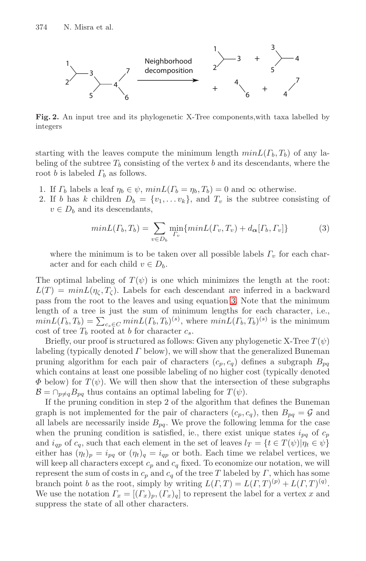<span id="page-5-0"></span>

**Fig. 2.** An input tree and its phylogenetic X-Tree components,with taxa labelled by integers

<span id="page-5-1"></span>starting with the leaves compute the minimum length  $minL(T_b, T_b)$  of any labeling of the subtree  $T_b$  consisting of the vertex b and its descendants, where the root b is labeled  $\Gamma_b$  as follows.

- 1. If  $\Gamma_b$  labels a leaf  $\eta_b \in \psi$ ,  $minL(\Gamma_b = \eta_b, T_b) = 0$  and  $\infty$  otherwise.
- 2. If b has k children  $D_b = \{v_1, \ldots v_k\}$ , and  $T_v$  is the subtree consisting of  $v \in D_b$  and its descendants,

$$
minL(\Gamma_b, T_b) = \sum_{v \in D_b} \min_{\Gamma_v} \{minL(\Gamma_v, T_v) + d_{\alpha}[\Gamma_b, \Gamma_v] \}
$$
(3)

where the minimum is to be taken over all possible labels  $\Gamma_v$  for each character and for each child  $v \in D_b$ .

The optimal labeling of  $T(\psi)$  is one which minimizes the length at the root:  $L(T) = minL(\eta_c, T_c)$ . Labels for each descendant are inferred in a backward pass from the root to the leaves and using equation 3. Note that the minimum length of a tree is just the sum of minimum lengths for each character, i.e.,  $minL(\Gamma_b, T_b) = \sum_{c_s \in C} minL(\Gamma_b, T_b)^{(s)}$ , where  $minL(\Gamma_b, T_b)^{(s)}$  is the minimum cost of tree  $T_b$  rooted at b for character  $c_s$ .

Briefly, our proof is structured as follows: Given any phylogenetic X-Tree  $T(\psi)$ labeling (typically denoted  $\Gamma$  below), we will show that the generalized Buneman pruning algorithm for each pair of characters  $(c_p, c_q)$  defines a subgraph  $B_{pq}$ which contains at least one possible labeling of no higher cost (typically denoted  $\Phi$  below) for  $T(\psi)$ . We will then show that the intersection of these subgraphs  $\mathcal{B} = \bigcap_{p \neq q} B_{pq}$  thus contains an optimal labeling for  $T(\psi)$ .

If the pruning condition in step 2 of the algorithm that defines the Buneman graph is not implemented for the pair of characters  $(c_p, c_q)$ , then  $B_{pq} = \mathcal{G}$  and all labels are necessarily inside  $B_{pq}$ . We prove the following lemma for the case when the pruning condition is satisfied, ie., there exist unique states  $i_{pq}$  of  $c_p$ and  $i_{qp}$  of  $c_q$ , such that each element in the set of leaves  $l_T = \{t \in T(\psi)|\eta_t \in \psi\}$ either has  $(\eta_t)_p = i_{pq}$  or  $(\eta_t)_q = i_{qp}$  or both. Each time we relabel vertices, we will keep all characters except  $c_p$  and  $c_q$  fixed. To economize our notation, we will represent the sum of costs in  $c_p$  and  $c_q$  of the tree T labeled by  $\Gamma$ , which has some branch point b as the root, simply by writing  $L(\Gamma, T) = L(\Gamma, T)^{(p)} + L(\Gamma, T)^{(q)}$ . We use the notation  $\Gamma_x = [(T_x)_p, (T_x)_q]$  to represent the label for a vertex x and suppress the state of all other characters.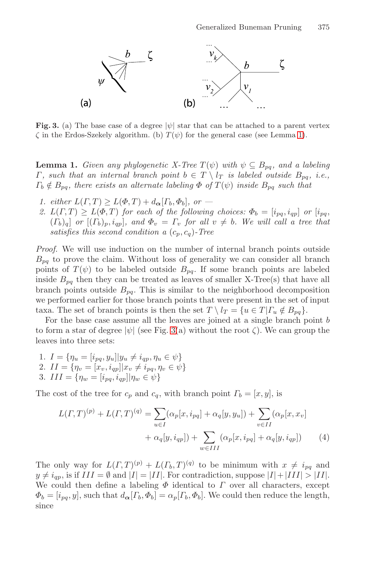<span id="page-6-0"></span>

**Fig. 3.** (a) The base case of a degree  $|\psi|$  star that can be attached to a parent vertex  $\zeta$  in the Erdos-Szekely algorithm. (b)  $T(\psi)$  for the general case (see Lemma 1).

**Lemma 1.** *Given any phylogenetic X-Tree*  $T(\psi)$  *with*  $\psi \subseteq B_{pq}$ *, and a labeling Γ, such that an internal branch point*  $b \in T \setminus l_T$  *is labeled outside*  $B_{pq}$ *, i.e.*,  $\Gamma_b \notin B_{pq}$ , there exists an alternate labeling  $\Phi$  of  $T(\psi)$  inside  $B_{pq}$  such that

- *1. either*  $L(\Gamma, T) \geq L(\Phi, T) + d_{\alpha}[\Gamma_b, \Phi_b],$  or —
- 2.  $L(\Gamma, T) \geq L(\Phi, T)$  *for each of the following choices:*  $\Phi_b = [i_{pq}, i_{qp}]$  *or*  $[i_{pq}, j_{qp}]$  $(T_b)_q$ ] *or*  $[(T_b)_p, i_{qp}]$ *, and*  $\Phi_v = \Gamma_v$  *for all*  $v \neq b$ *. We will call a tree that satisfies this second condition a*  $(c_p, c_q)$ -Tree

*Proof.* We will u[se](#page-6-0) induction on the number of internal branch points outside  $B_{pq}$  to prove the claim. Without loss of generality we can consider all branch points of  $T(\psi)$  to be labeled outside  $B_{pq}$ . If some branch points are labeled inside  $B_{pq}$  then they can be treated as leaves of smaller X-Tree(s) that have all branch points outside  $B_{pq}$ . This is similar to the neighborhood decomposition we performed earlier for those branch points that were present in the set of input taxa. The set of branch points is then the set  $T \setminus l_T = \{u \in T | \Gamma_u \notin B_{pq}\}.$ 

For the base case assume all the leaves are joined at a single branch point b to form a star of degree  $|\psi|$  (see Fig. 3(a) without the root  $\zeta$ ). We can group the leaves into three sets:

1.  $I = \{\eta_u = [i_{pq}, y_u] | y_u \neq i_{qp}, \eta_u \in \psi\}$ 2.  $II = {\eta_v = [x_v, i_{qp}]} | x_v \neq i_{pq}, \eta_v \in \psi$ 3. III = { $\eta_w = [i_{pq}, i_{qp}] | \eta_w \in \psi$ }

The cost of the tree for  $c_p$  and  $c_q$ , with branch point  $\Gamma_b = [x, y]$ , is

$$
L(\Gamma, T)^{(p)} + L(\Gamma, T)^{(q)} = \sum_{u \in I} (\alpha_p[x, i_{pq}] + \alpha_q[y, y_u]) + \sum_{v \in II} (\alpha_p[x, x_v] + \alpha_q[y, i_{qp}]) + \sum_{w \in III} (\alpha_p[x, i_{pq}] + \alpha_q[y, i_{qp}])
$$
(4)

The only way for  $L(\Gamma, T)^{(p)} + L(\Gamma_b, T)^{(q)}$  to be minimum with  $x \neq i_{pq}$  and  $y \neq i_{ap}$ , is if  $III = \emptyset$  and  $|I| = |II|$ . For contradiction, suppose  $|I| + |III| > |II|$ . We could then define a labeling  $\Phi$  identical to  $\Gamma$  over all characters, except  $\Phi_b = [i_{pq}, y]$ , such that  $d_{\alpha}[T_b, \Phi_b] = \alpha_p[T_b, \Phi_b]$ . We could then reduce the length, since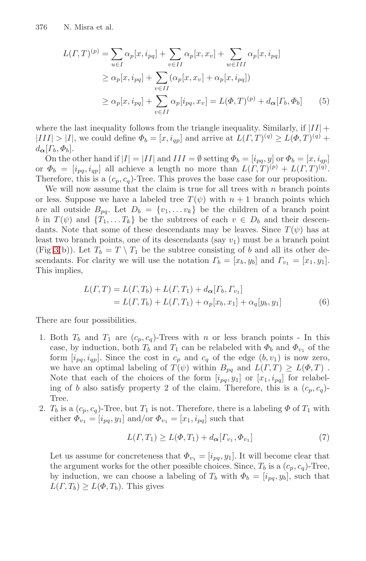$$
L(\Gamma, T)^{(p)} = \sum_{u \in I} \alpha_p[x, i_{pq}] + \sum_{v \in II} \alpha_p[x, x_v] + \sum_{w \in III} \alpha_p[x, i_{pq}]
$$
  
\n
$$
\geq \alpha_p[x, i_{pq}] + \sum_{v \in II} (\alpha_p[x, x_v] + \alpha_p[x, i_{pq}])
$$
  
\n
$$
\geq \alpha_p[x, i_{pq}] + \sum_{v \in II} \alpha_p[i_{pq}, x_v] = L(\Phi, T)^{(p)} + d_{\alpha}[T_b, \Phi_b]
$$
 (5)

where the last inequality follows from the triangle inequality. Similarly, if  $|II|$  +  $|III| > |I|$ , we could define  $\Phi_b = [x, i_{qp}]$  and arrive at  $L(\Gamma, T)^{(q)} \ge L(\Phi, T)^{(q)} +$  $d_{\boldsymbol{\alpha}}[{\Gamma_{b}}, {\varPhi_{b}}].$ 

On the other hand if  $|I| = |II|$  and  $III = \emptyset$  setting  $\Phi_b = [i_{pq}, y]$  or  $\Phi_b = [x, i_{qp}]$ or  $\Phi_b = [i_{pq}, i_{qp}]$  all achieve a length no more than  $L(\Gamma, T)^{(p)} + L(\Gamma, T)^{(q)}$ . Therefore, this is a  $(c_p, c_q)$ -Tree. This proves the base case for our proposition.

<span id="page-7-0"></span>We will now assume that the claim is true for all trees with  $n$  branch points or less. Suppose we have a labeled tree  $T(\psi)$  with  $n+1$  branch points which are all outside  $B_{pq}$ . Let  $D_b = \{v_1, \ldots v_k\}$  be the children of a branch point b in  $T(\psi)$  and  $\{T_1,\ldots,T_k\}$  be the subtrees of each  $v \in D_b$  and their descendants. Note that some of these descendants may be leaves. Since  $T(\psi)$  has at least two branch points, one of its descendants (say  $v_1$ ) must be a branch point (Fig 3(b)). Let  $T_b = T \setminus T_1$  be the subtree consisting of b and all its other descendants. For clarity we will use the notation  $\Gamma_b = [x_b, y_b]$  and  $\Gamma_{v_1} = [x_1, y_1]$ . This implies,

$$
L(\Gamma, T) = L(\Gamma, T_b) + L(\Gamma, T_1) + d_{\alpha} [T_b, T_{v_1}]
$$
  
=  $L(\Gamma, T_b) + L(\Gamma, T_1) + \alpha_p [x_b, x_1] + \alpha_q [y_b, y_1]$  (6)

There are four possibilities.

- 1. Both  $T_b$  and  $T_1$  are  $(c_p, c_q)$ -Trees with n or less branch points In this case, by induction, both  $T_b$  and  $T_1$  can be relabeled with  $\Phi_b$  and  $\Phi_{v_1}$  of the form  $[i_{pq}, i_{qp}]$ . Since the cost in  $c_p$  and  $c_q$  of the edge  $(b, v_1)$  is now zero, we have an optimal labeling of  $T(\psi)$  within  $B_{pq}$  and  $L(\Gamma,T) \geq L(\Phi,T)$ . Note that each of the choices of the form  $[i_{pq}, y_1]$  or  $[x_1, i_{pq}]$  for relabeling of b also satisfy property 2 of the claim. Therefore, this is a  $(c_p, c_q)$ -Tree.
- 2.  $T_b$  is a  $(c_p, c_q)$ -Tree, but  $T_1$  is not. Therefore, there is a labeling  $\Phi$  of  $T_1$  with either  $\Phi_{v_1} = [i_{pq}, y_1]$  and/or  $\Phi_{v_1} = [x_1, i_{pq}]$  such that

$$
L(\Gamma, T_1) \ge L(\Phi, T_1) + d_{\alpha} [\Gamma_{v_1}, \Phi_{v_1}] \tag{7}
$$

Let us assume for concreteness that  $\Phi_{v_1} = [i_{pq}, y_1]$ . It will become clear that the argument works for the other possible choices. Since,  $T_b$  is a  $(c_p, c_q)$ -Tree, by induction, we can choose a labeling of  $T_b$  with  $\Phi_b = [i_{pq}, y_b]$ , such that  $L(T, T_b) \geq L(\Phi, T_b)$ . This gives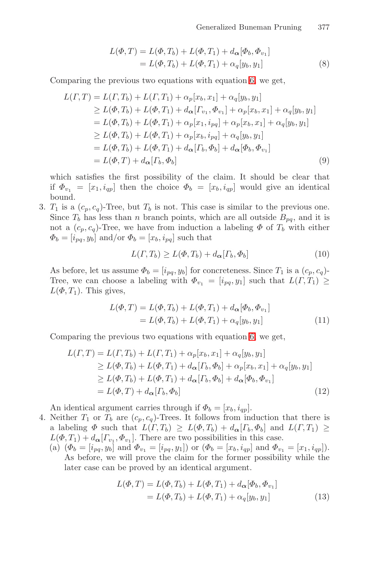Generalized Buneman Pruning 377

$$
L(\Phi, T) = L(\Phi, T_b) + L(\Phi, T_1) + d_{\alpha}[\Phi_b, \Phi_{v_1}]
$$
  
=  $L(\Phi, T_b) + L(\Phi, T_1) + \alpha_q[y_b, y_1]$  (8)

Comparing the previous two equations with equation 6, we get,

$$
L(\Gamma, T) = L(\Gamma, T_b) + L(\Gamma, T_1) + \alpha_p[x_b, x_1] + \alpha_q[y_b, y_1]
$$
  
\n
$$
\geq L(\Phi, T_b) + L(\Phi, T_1) + d_{\alpha}[\Gamma_{v_1}, \Phi_{v_1}] + \alpha_p[x_b, x_1] + \alpha_q[y_b, y_1]
$$
  
\n
$$
= L(\Phi, T_b) + L(\Phi, T_1) + \alpha_p[x_1, i_{pq}] + \alpha_p[x_b, x_1] + \alpha_q[y_b, y_1]
$$
  
\n
$$
\geq L(\Phi, T_b) + L(\Phi, T_1) + \alpha_p[x_b, i_{pq}] + \alpha_q[y_b, y_1]
$$
  
\n
$$
= L(\Phi, T_b) + L(\Phi, T_1) + d_{\alpha}[\Gamma_b, \Phi_b] + d_{\alpha}[\Phi_b, \Phi_{v_1}]
$$
  
\n
$$
= L(\Phi, T) + d_{\alpha}[\Gamma_b, \Phi_b]
$$
 (9)

which satisfies the first possibility of the claim. It should be clear that if  $\Phi_{v_1} = [x_1, i_{qp}]$  then the choice  $\Phi_b = [x_b, i_{qp}]$  would give an identical bound.

3.  $T_1$  is a  $(c_p, c_q)$ -Tree, but  $T_b$  is not. This case is similar to the previous one. Since  $T_b$  has less than n branch points, which are all outside  $B_{pq}$ , and it is not a  $(c_p, c_q)$ -Tree, we have from induction a labeling  $\Phi$  of  $T_b$  with either  $\Phi_b = [i_{pq}, y_b]$  and/or  $\Phi_b = [x_b, i_{pq}]$  such that

$$
L(\Gamma, T_b) \ge L(\Phi, T_b) + d_{\alpha} [\Gamma_b, \Phi_b]
$$
\n(10)

As before, let us assume  $\Phi_b = [i_{pq}, y_b]$  for concreteness. Since  $T_1$  is a  $(c_p, c_q)$ -Tree, we can choose a labeling with  $\Phi_{v_1} = [i_{pq}, y_1]$  such that  $L(\Gamma, T_1) \geq$  $L(\Phi, T_1)$ . This gives,

$$
L(\Phi, T) = L(\Phi, T_b) + L(\Phi, T_1) + d_{\alpha}[\Phi_b, \Phi_{v_1}]
$$
  
=  $L(\Phi, T_b) + L(\Phi, T_1) + \alpha_q[y_b, y_1]$  (11)

Comparing the previous two equations with equation 6, we get,

$$
L(\Gamma, T) = L(\Gamma, T_b) + L(\Gamma, T_1) + \alpha_p[x_b, x_1] + \alpha_q[y_b, y_1]
$$
  
\n
$$
\geq L(\Phi, T_b) + L(\Phi, T_1) + d_{\alpha}[\Gamma_b, \Phi_b] + \alpha_p[x_b, x_1] + \alpha_q[y_b, y_1]
$$
  
\n
$$
\geq L(\Phi, T_b) + L(\Phi, T_1) + d_{\alpha}[\Gamma_b, \Phi_b] + d_{\alpha}[\Phi_b, \Phi_{v_1}]
$$
  
\n
$$
= L(\Phi, T) + d_{\alpha}[\Gamma_b, \Phi_b]
$$
\n(12)

An identical argument carries through if  $\Phi_b = [x_b, i_{qp}]$ .

- 4. Neither  $T_1$  or  $T_b$  are  $(c_p, c_q)$ -Trees. It follows from induction that there is a labeling  $\Phi$  such that  $L(\Gamma, T_b) \geq L(\Phi, T_b) + d_{\alpha}[T_b, \Phi_b]$  and  $L(\Gamma, T_1) \geq$  $L(\Phi, T_1) + d_{\alpha}[{\Gamma_{v_1}, \Phi_{v_1}}]$ . There are two possibilities in this case.
	- (a)  $(\Phi_b = [i_{pq}, y_b]$  and  $\Phi_{v_1} = [i_{pq}, y_1]$  or  $(\Phi_b = [x_b, i_{qp}]$  and  $\Phi_{v_1} = [x_1, i_{qp}])$ . As before, we will prove the claim for the former possibility while the later case can be proved by an identical argument.

$$
L(\Phi, T) = L(\Phi, T_b) + L(\Phi, T_1) + d_{\alpha}[\Phi_b, \Phi_{v_1}]
$$
  
=  $L(\Phi, T_b) + L(\Phi, T_1) + \alpha_q[y_b, y_1]$  (13)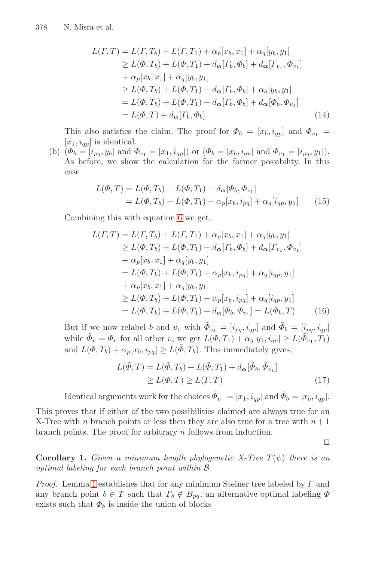$$
L(\Gamma, T) = L(\Gamma, T_b) + L(\Gamma, T_1) + \alpha_p[x_b, x_1] + \alpha_q[y_b, y_1]
$$
  
\n
$$
\geq L(\Phi, T_b) + L(\Phi, T_1) + d_{\alpha}[\Gamma_b, \Phi_b] + d_{\alpha}[\Gamma_{v_1}, \Phi_{v_1}]
$$
  
\n
$$
+ \alpha_p[x_b, x_1] + \alpha_q[y_b, y_1]
$$
  
\n
$$
\geq L(\Phi, T_b) + L(\Phi, T_1) + d_{\alpha}[\Gamma_b, \Phi_b] + \alpha_q[y_b, y_1]
$$
  
\n
$$
= L(\Phi, T_b) + L(\Phi, T_1) + d_{\alpha}[\Gamma_b, \Phi_b] + d_{\alpha}[\Phi_b, \Phi_{v_1}]
$$
  
\n
$$
= L(\Phi, T) + d_{\alpha}[\Gamma_b, \Phi_b]
$$
 (14)

This also satisfies the claim. The proof for  $\Phi_b = [x_b, i_{qp}]$  and  $\Phi_{v_1} =$  $[x_1, i_{qp}]$  is i[de](#page-7-0)ntical.

(b)  $(\Phi_b = [i_{pq}, y_b]$  and  $\Phi_{v_1} = [x_1, i_{qp}]$  or  $(\Phi_b = [x_b, i_{qp}]$  and  $\Phi_{v_1} = [i_{pq}, y_1]$ . As before, we show the calculation for the former possibility. In this case

$$
L(\Phi, T) = L(\Phi, T_b) + L(\Phi, T_1) + d_{\alpha}[\Phi_b, \Phi_{v_1}]
$$
  
=  $L(\Phi, T_b) + L(\Phi, T_1) + \alpha_p[x_b, i_{pq}] + \alpha_q[i_{qp}, y_1]$  (15)

Combining this with equation 6 we get,

$$
L(\Gamma, T) = L(\Gamma, T_b) + L(\Gamma, T_1) + \alpha_p[x_b, x_1] + \alpha_q[y_b, y_1]
$$
  
\n
$$
\geq L(\Phi, T_b) + L(\Phi, T_1) + d_{\alpha}[\Gamma_b, \Phi_b] + d_{\alpha}[\Gamma_{v_1}, \Phi_{v_1}]
$$
  
\n
$$
+ \alpha_p[x_b, x_1] + \alpha_q[y_b, y_1]
$$
  
\n
$$
= L(\Phi, T_b) + L(\Phi, T_1) + \alpha_p[x_b, i_{pq}] + \alpha_q[i_{qp}, y_1]
$$
  
\n
$$
+ \alpha_p[x_b, x_1] + \alpha_q[y_b, y_1]
$$
  
\n
$$
\geq L(\Phi, T_b) + L(\Phi, T_1) + \alpha_p[x_b, i_{pq}] + \alpha_q[i_{qp}, y_1]
$$
  
\n
$$
= L(\Phi, T_b) + L(\Phi, T_1) + d_{\alpha}[\Phi_b, \Phi_{v_1}] = L(\Phi_b, T)
$$
 (16)

But if we now relabel b and  $v_1$  with  $\tilde{\Phi}_{v_1} = [i_{pq}, i_{qp}]$  and  $\tilde{\Phi}_{b} = [i_{pq}, i_{qp}]$ while  $\tilde{\Phi}_v = \Phi_v$  for all other v, we get  $L(\Phi, T_1) + \alpha_q[y_1, i_{qp}] \ge L(\tilde{\Phi}_{v_1}, T_1)$ and  $L(\Phi, T_b) + \alpha_p[x_b, i_{pq}] \ge L(\tilde{\Phi}, T_b)$ . This immediately gives,

$$
L(\tilde{\Phi}, T) = L(\tilde{\Phi}, T_b) + L(\tilde{\Phi}, T_1) + d_{\alpha}[\tilde{\Phi}_b, \tilde{\Phi}_{v_1}]
$$
  
\n
$$
\ge L(\Phi, T) \ge L(\Gamma, T)
$$
\n(17)

Identical arguments work for the choices  $\tilde{\Phi}_{v_1} = [x_1, i_{qp}]$  and  $\tilde{\Phi}_{b} = [x_b, i_{qp}]$ .

This proves that if either of the two possibilities claimed are always true for an X-Tree with n branch points or less then they are also true for a tree with  $n+1$ branch points. The proof for arbitrary n follows from induction.

 $\Box$ 

**Corollary 1.** *Given a minimum length phylogenetic X-Tree*  $T(\psi)$  *there is an optimal labeling for each branch point within* B*.*

*Proof.* Lemma 1 establishes that for any minimum Steiner tree labeled by Γ and any branch point  $b \in T$  such that  $\Gamma_b \notin B_{pq}$ , an alternative optimal labeling  $\Phi$ exists such that  $\Phi_b$  is inside the union of blocks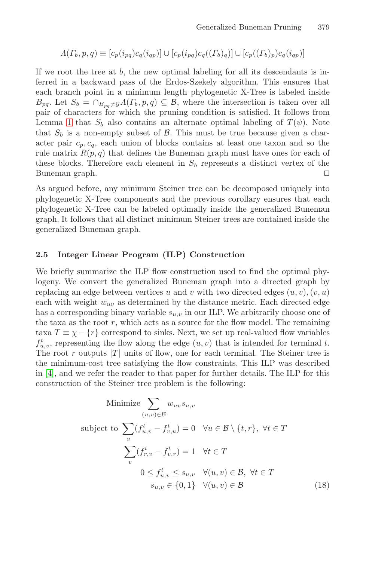$$
\Lambda(T_b, p, q) \equiv [c_p(i_{pq})c_q(i_{qp})] \cup [c_p(i_{pq})c_q((T_b)_q)] \cup [c_p((T_b)_p)c_q(i_{qp})]
$$

If we root the tree at  $b$ , the new optimal labeling for all its descendants is inferred in a backward pass of the Erdos-Szekely algorithm. This ensures that each branch point in a minimum length phylogenetic X-Tree is labeled inside  $B_{pq}$ . Let  $S_b = \bigcap_{B_{pq} \neq \emptyset} \Lambda(T_b, p, q) \subseteq \mathcal{B}$ , where the intersection is taken over all pair of characters for which the pruning condition is satisfied. It follows from Lemma 1 that  $S_b$  also contains an alternate optimal labeling of  $T(\psi)$ . Note that  $S_b$  is a non-empty subset of  $\beta$ . This must be true because given a character pair  $c_p, c_q$ , each union of blocks contains at least one taxon and so the rule matrix  $R(p, q)$  that defines the Buneman graph must have ones for each of these blocks. Therefore each element in  $S_b$  represents a distinct vertex of the Buneman graph.  $\square$ 

As argued before, any minimum Steiner tree can be decomposed uniquely into phylogenetic X-Tree components and the previous corollary ensures that each phylogenetic X-Tree can be labeled optimally inside the generalized Buneman graph. It follows that all distinct minimum Steiner trees are contained inside the generalized Buneman graph.

#### **2.5 Integer Linear Program (ILP) Construction**

We briefly summarize the ILP flow construction used to find the optimal phylogeny. We convert the generalized Buneman graph into a directed graph by replacing an edge between vertices u and v with two directed edges  $(u, v), (v, u)$ each with weight  $w_{uv}$  as determined by the distance metric. Each directed edge has a corresponding binary variable  $s_{u,v}$  in our ILP. We arbitrarily choose one of the taxa as the root  $r$ , which acts as a source for the flow model. The remaining taxa  $T \equiv \chi - \{r\}$  correspond to sinks. Next, we set up real-valued flow variables  $f_{u,v}^t$ , representing the flow along the edge  $(u, v)$  that is intended for terminal t. The root r outputs  $|T|$  units of flow, one for each terminal. The Steiner tree is the minimum-cost tree satisfying the flow constraints. This ILP was described in [4], and we refer the reader to that paper for further details. The ILP for this construction of the Steiner tree problem is the following:

Minimize 
$$
\sum_{(u,v)\in\mathcal{B}} w_{uv}s_{u,v}
$$
  
subject to 
$$
\sum_{v} (f_{u,v}^t - f_{v,u}^t) = 0 \quad \forall u \in \mathcal{B} \setminus \{t, r\}, \ \forall t \in T
$$

$$
\sum_{v} (f_{r,v}^t - f_{v,r}^t) = 1 \quad \forall t \in T
$$

$$
0 \le f_{u,v}^t \le s_{u,v} \quad \forall (u,v) \in \mathcal{B}, \ \forall t \in T
$$

$$
s_{u,v} \in \{0,1\} \quad \forall (u,v) \in \mathcal{B}
$$
(18)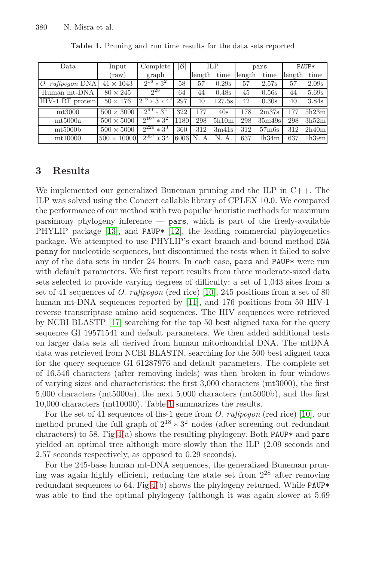| Data                              | Input              | Complete            | B    | <b>ILP</b> |        | pars   |                   | PAUP*  |       |
|-----------------------------------|--------------------|---------------------|------|------------|--------|--------|-------------------|--------|-------|
|                                   | (raw)              | graph               |      | length     | time   | length | time              | length | time  |
| rufipogon DNA<br>$\overline{O}$ . | $41 \times 1043$   | $2^{18} * 3^2$      | 58   | 57         | 0.29s  | 57     | 2.57s             | 57     | 2.09s |
| Human mt-DNA                      | $80 \times 245$    | $2^{28}$            | 64   | 44         | 0.48s  | 45     | 0.56s             | 44     | 5.69s |
| HIV-1 RT protein                  | $50 \times 176$    | $2^{16} * 3 * 4^2$  | 297  | 40         | 127.5s | 42     | 0.30s             | 40     | 3.84s |
| $mt3000$                          | $500 \times 3000$  | $2^{99}$<br>$*3^2$  | 322  | 177        | 40s    | 178    | 2 <sub>m37s</sub> | 177    | 5h23m |
| mt5000a                           | $500 \times 5000$  | $2^{167}$<br>$*3^2$ | 1180 | 298        | 5h10m  | 298    | 35m49s            | 298    | 3h52m |
| mt5000b                           | $500 \times 5000$  | $2^{229}$<br>$*3^3$ | 360  | 312        | 3m41s  | 312    | 57 <sub>m6s</sub> | 312    | 2h40m |
| mt10000                           | $500 \times 10000$ | $2^{357}$<br>$*3^5$ | 6006 | N          | N. A   | 637    | 1h34m             | 637    | 1h39m |

<span id="page-11-0"></span>**Table 1.** Pruning and run time results for the data sets reported

## **3 Results**

We implemented our generalized Buneman pruning and the ILP in C++. The ILP was solved using the Concert callable library of CPLEX 10.0. We compared the performance of our me[thod](#page-14-6) with two popular heuristic methods for maximum  $p$ arsimony phylogeny [inf](#page-14-7)erence —  $p$ ars, which is part of the freely-available PHYLIP package [13], and PAUP\* [12], the leading commercial phylogenetics p[ack](#page-14-12)age. We attempted to use PHYLIP's exact branch-and-bound method DNA penny for nucleotide sequences, but discontinued the tests when it failed to solve any of the data sets in under 24 hours. In each case, pars and PAUP\* were run with default parameters. We first report results from three moderate-sized data sets selected to provide varying degrees of difficulty: a set of 1,043 sites from a set of 41 sequences of *O. rufipogon* (red rice) [10], 245 positions from a set of 80 human mt-DNA sequences reported by [11], and 176 positions from 50 HIV-1 reverse transcriptase amino acid sequences. The HIV sequences were retrieved by NCBI BLAS[TP](#page-11-0) [17] searching for the top 50 best aligned taxa for the query sequence GI 19571541 and default parameters. We t[hen](#page-14-6) added additional tests on larger data sets all derived from human mitochondrial DNA. The mtDNA da[ta](#page-12-0) was retrieved from NCBI BLASTN, searching for the 500 best aligned taxa for the query sequence GI 61287976 and default parameters. The complete set of 16,546 characters (after removing indels) was then broken in four windows of varying sizes and characteristics: the first 3,000 characters (mt3000), the first 5,000 characters (mt5000a), the next 5,000 characters (mt5000b), and the first 10,000 char[act](#page-12-0)ers (mt10000). Table 1 summarizes the results.

For the set of 41 sequences of lhs-1 gene from *O. rufipogon* (red rice) [10], our method pruned the full graph of  $2^{18} \times 3^2$  nodes (after screening out redundant characters) to 58. Fig  $4(a)$  shows the resulting phylogeny. Both PAUP\* and pars yielded an optimal tree although more slowly than the ILP (2.09 seconds and 2.57 seconds respectively, as opposed to 0.29 seconds).

For the 245-base human mt-DNA sequences, the generalized Buneman pruning was again highly efficient, reducing the state set from  $2^{28}$  after removing redundant sequences to 64. Fig  $4(b)$  shows the phylogeny returned. While PAUP\* was able to find the optimal phylogeny (although it was again slower at  $5.69$ )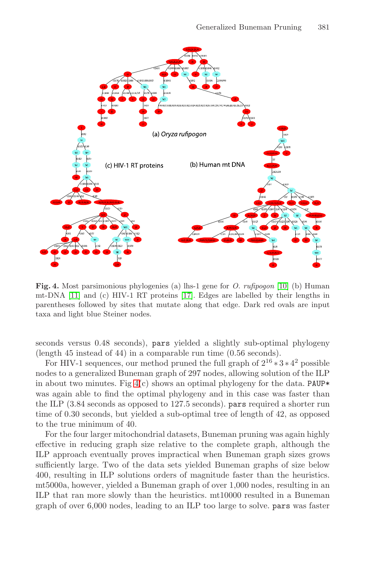#### Generalized Buneman Pruning 381



<span id="page-12-0"></span>**Fig. 4.** Most parsimonious phylogenies (a) lhs-1 gene for *O. rufipogon* [10] (b) Human mt-DNA [11] and (c) HIV-1 RT proteins [17]. Edges are labelled by their lengths in parenth[ese](#page-12-0)s followed by sites that mutate along that edge. Dark red ovals are input taxa and light blue Steiner nodes.

seconds versus 0.48 seconds), pars yielded a slightly sub-optimal phylogeny (length 45 instead of 44) in a comparable run time (0.56 seconds).

For HIV-1 sequences, our method pruned the full graph of  $2^{16} * 3 * 4^2$  possible nodes to a generalized Buneman graph of 297 nodes, allowing solution of the ILP in about two minutes. Fig  $4(c)$  shows an optimal phylogeny for the data. PAUP\* was again able to find the optimal phylogeny and in this case was faster than the ILP (3.84 seconds as opposed to 127.5 seconds). pars required a shorter run time of 0.30 seconds, but yielded a sub-optimal tree of length of 42, as opposed to the true minimum of 40.

For the four larger mitochondrial datasets, Buneman pruning was again highly effective in reducing graph size relative to the complete graph, although the ILP approach eventually proves impractical when Buneman graph sizes grows sufficiently large. Two of the data sets yielded Buneman graphs of size below 400, resulting in ILP solutions orders of magnitude faster than the heuristics. mt5000a, however, yielded a Buneman graph of over 1,000 nodes, resulting in an ILP that ran more slowly than the heuristics. mt10000 resulted in a Buneman graph of over 6,000 nodes, leading to an ILP too large to solve. pars was faster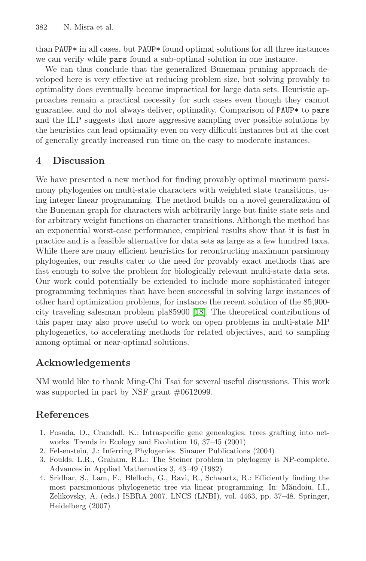than PAUP\* in all cases, but PAUP\* found optimal solutions for all three instances we can verify while pars found a sub-optimal solution in one instance.

We can thus conclude that the generalized Buneman pruning approach developed here is very effective at reducing problem size, but solving provably to optimality does eventually become impractical for large data sets. Heuristic approaches remain a practical necessity for such cases even though they cannot guarantee, and do not always deliver, optimality. Comparison of PAUP\* to pars and the ILP suggests that more aggressive sampling over possible solutions by the heuristics can lead optimality even on very difficult instances but at the cost of generally greatly increased run time on the easy to moderate instances.

# **4 Discussion**

We have presented a new method for finding provably optimal maximum parsimony phylogenies on multi-state characters with weighted state transitions, using integer linear programming. The method builds on a novel generalization of the Buneman graph for characters with arbitrarily large but finite state sets and for arbitrary weight functions on character transitions. Although the method has an exponential worst-c[ase](#page-14-13) performance, empirical results show that it is fast in practice and is a feasible alternative for data sets as large as a few hundred taxa. While there are many efficient heuristics for recontructing maximum parsimony phylogenies, our results cater to the need for provably exact methods that are fast enough to solve the problem for biologically relevant multi-state data sets. Our work could potentially be extended to include more sophisticated integer programming techniques that have been successful in solving large instances of other hard optimization problems, for instance the recent solution of the 85,900 city traveling salesman problem pla85900 [18]. The theoretical contributions of this paper may also prove useful to work on open problems in multi-state MP phylogenetics, to accelerating methods for related objectives, and to sampling among optimal or near-optimal solutions.

# <span id="page-13-0"></span>**Acknowledgements**

<span id="page-13-1"></span>NM would like to thank Ming-Chi Tsai for several useful discussions. This work was supported in part by NSF grant  $\#0612099$ .

## **References**

- 1. Posada, D., Crandall, K.: Intraspecific gene genealogies: trees grafting into networks. Trends in Ecology and Evolution 16, 37–45 (2001)
- 2. Felsenstein, J.: Inferring Phylogenies. Sinauer Publications (2004)
- 3. Foulds, L.R., Graham, R.L.: The Steiner problem in phylogeny is NP-complete. Advances in Applied Mathematics 3, 43–49 (1982)
- 4. Sridhar, S., Lam, F., Blelloch, G., Ravi, R., Schwartz, R.: Efficiently finding the most parsimonious phylogenetic tree via linear programming. In: Măndoiu, I.I., Zelikovsky, A. (eds.) ISBRA 2007. LNCS (LNBI), vol. 4463, pp. 37–48. Springer, Heidelberg (2007)